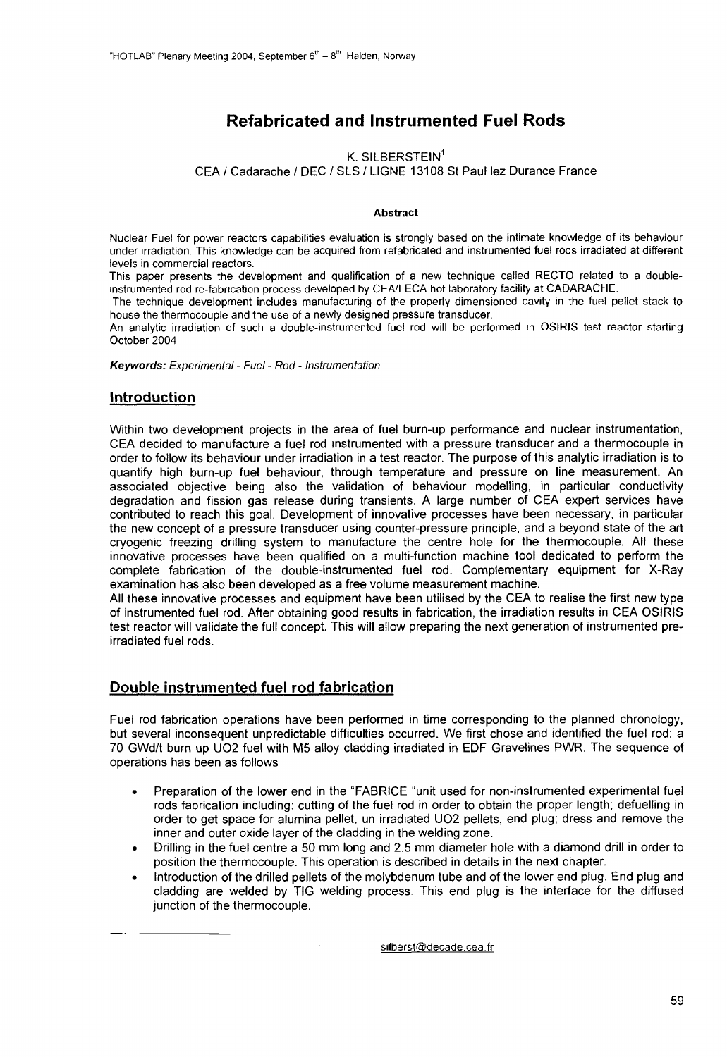# Refabricated and Instrumented Fuel Rods

#### K. SILBERSTEIN<sup>1</sup>

CEA / Cadarache / DEC / SLS / LIGNE 13108 St Paul lez Durance France

#### **Abstract**

Nuclear Fuel for power reactors capabilities evaluation is strongly based on the intimate knowledge of its behaviour under irradiation. This knowledge can be acquired from refabricated and instrumented fuel rods irradiated at different levels in commercial reactors.

This paper presents the development and qualification of a new technique called RECTO related to a doubleinstrumented rod re-fabrication process developed by CEA/LECA hot laboratory facility at CADARACHE.

The technique development includes manufacturing of the properly dimensioned cavity in the fuel pellet stack to house the thermocouple and the use of a newly designed pressure transducer.

An analytic irradiation of such a double-instrumented fuel rod will be performed in OSIRIS test reactor starting October 2004

**Keywords:** Experimental - Fuel - Rod - Instrumentation

#### **Introduction**

Within two development projects in the area of fuel burn-up performance and nuclear instrumentation, CEA decided to manufacture a fuel rod instrumented with a pressure transducer and a thermocouple in order to follow its behaviour under irradiation in a test reactor. The purpose of this analytic irradiation is to quantify high burn-up fuel behaviour, through temperature and pressure on line measurement. An associated objective being also the validation of behaviour modelling, in particular conductivity degradation and fission gas release during transients. A large number of CEA expert services have contributed to reach this goal. Development of innovative processes have been necessary, in particular the new concept of a pressure transducer using counter-pressure principle, and a beyond state of the art cryogenic freezing drilling system to manufacture the centre hole for the thermocouple. All these innovative processes have been qualified on a multi-function machine tool dedicated to perform the complete fabrication of the double-instrumented fuel rod. Complementary equipment for X-Ray examination has also been developed as a free volume measurement machine.

All these innovative processes and equipment have been utilised by the CEA to realise the first new type of instrumented fuel rod. After obtaining good results in fabrication, the irradiation results in CEA OSIRIS test reactor will validate the full concept. This will allow preparing the next generation of instrumented preirradiated fuel rods.

### Double instrumented fuel rod fabrication

Fuel rod fabrication operations have been performed in time corresponding to the planned chronology, but several inconsequent unpredictable difficulties occurred. We first chose and identified the fuel rod: a 70 GWd/t burn up UO2 fuel with M5 alloy cladding irradiated in EDF Gravelines PWR. The sequence of operations has been as follows

- Preparation of the lower end in the "FABRICE "unit used for non-instrumented experimental fuel rods fabrication including: cutting of the fuel rod in order to obtain the proper length; defuelling in order to get space for alumina pellet, un irradiated UO2 pellets, end plug; dress and remove the inner and outer oxide layer of the cladding in the welding zone.
- Drilling in the fuel centre a 50 mm long and 2.5 mm diameter hole with a diamond drill in order to position the thermocouple. This operation is described in details in the next chapter.
- Introduction of the drilled pellets of the molybdenum tube and of the lower end plug. End plug and cladding are welded by TIG welding process. This end plug is the interface for the diffused junction of the thermocouple.

silberst@decade.cea.fr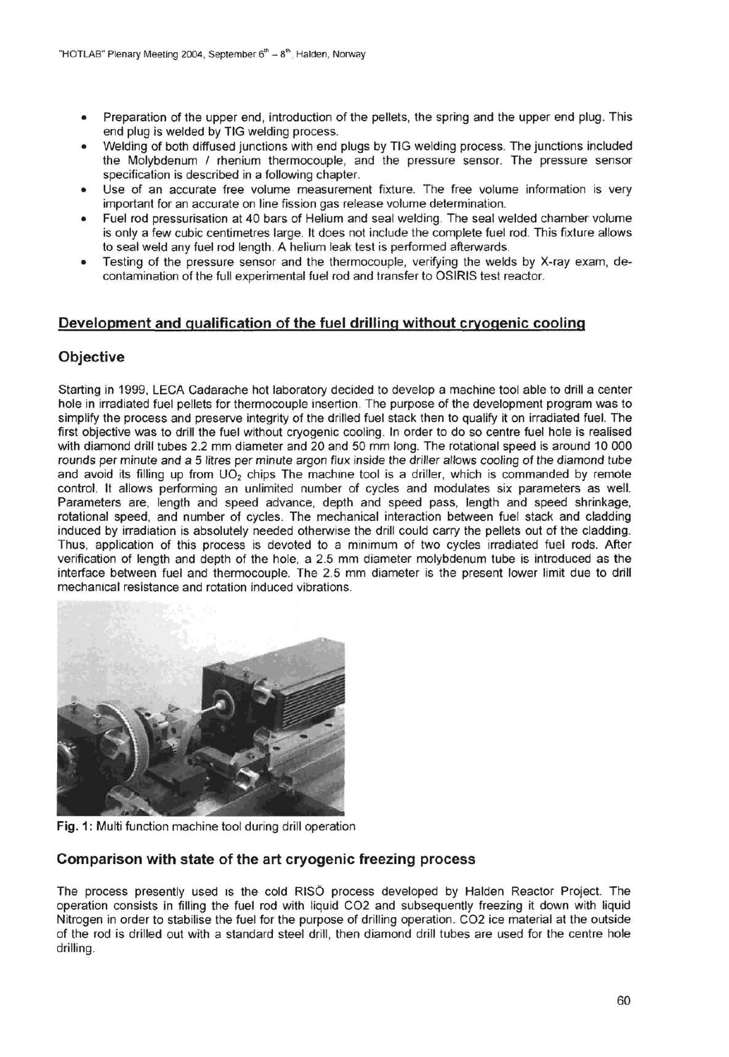- Preparation of the upper end, introduction of the pellets, the spring and the upper end plug. This end plug is welded by TIG welding process.
- Welding of both diffused junctions with end plugs by TIG welding process. The junctions included the Molybdenum / rhenium thermocouple, and the pressure sensor. The pressure sensor specification is described in a following chapter.
- Use of an accurate free volume measurement fixture. The free volume information is very important for an accurate on line fission gas release volume determination.
- Fuel rod pressurisation at 40 bars of Helium and seal welding. The seal welded chamber volume is only a few cubic centimetres large. It does not include the complete fuel rod. This fixture allows to seal weld any fuel rod length. A helium leak test is performed afterwards.
- Testing of the pressure sensor and the thermocouple, verifying the welds by X-ray exam, decontamination of the full experimental fuel rod and transfer to OSIRIS test reactor.

# Development and qualification of the fuel drilling without cryogenic cooling

# **Objective**

Starting in 1999, LECA Cadarache hot laboratory decided to develop a machine tool able to drill a center hole in irradiated fuel pellets for thermocouple insertion. The purpose of the development program was to simplify the process and preserve integrity of the drilled fuel stack then to qualify it on irradiated fuel. The first objective was to drill the fuel without cryogenic cooling. In order to do so centre fuel hole is realised with diamond drill tubes 2.2 mm diameter and 20 and 50 mm long. The rotational speed is around 10 000 rounds per minute and a 5 litres per minute argon flux inside the driller allows cooling of the diamond tube and avoid its filling up from  $UO<sub>2</sub>$  chips The machine tool is a driller, which is commanded by remote control, tt allows performing an unlimited number of cycles and modulates six parameters as well. Parameters are, length and speed advance, depth and speed pass, length and speed shrinkage, rotational speed, and number of cycles. The mechanical interaction between fuel stack and cladding induced by irradiation is absolutely needed otherwise the drill could carry the pellets out of the cladding. Thus, application of this process is devoted to a minimum of two cycles irradiated fuel rods. After verification of length and depth of the hole, a 2.5 mm diameter molybdenum tube is introduced as the interface between fuel and thermocouple. The 2.5 mm diameter is the present lower limit due to drill mechanical resistance and rotation induced vibrations.



**Fig.** 1: Multi function machine tool during drill operation

# Comparison with state of the art cryogenic freezing process

The process presently used is the cold RISO process developed by Halden Reactor Project. The operation consists in filling the fuel rod with liquid CO2 and subsequently freezing it down with liquid Nitrogen in order to stabilise the fuel for the purpose of drilling operation. CO2 ice material at the outside of the rod is drilled out with a standard steel drill, then diamond drill tubes are used for the centre hole drilling.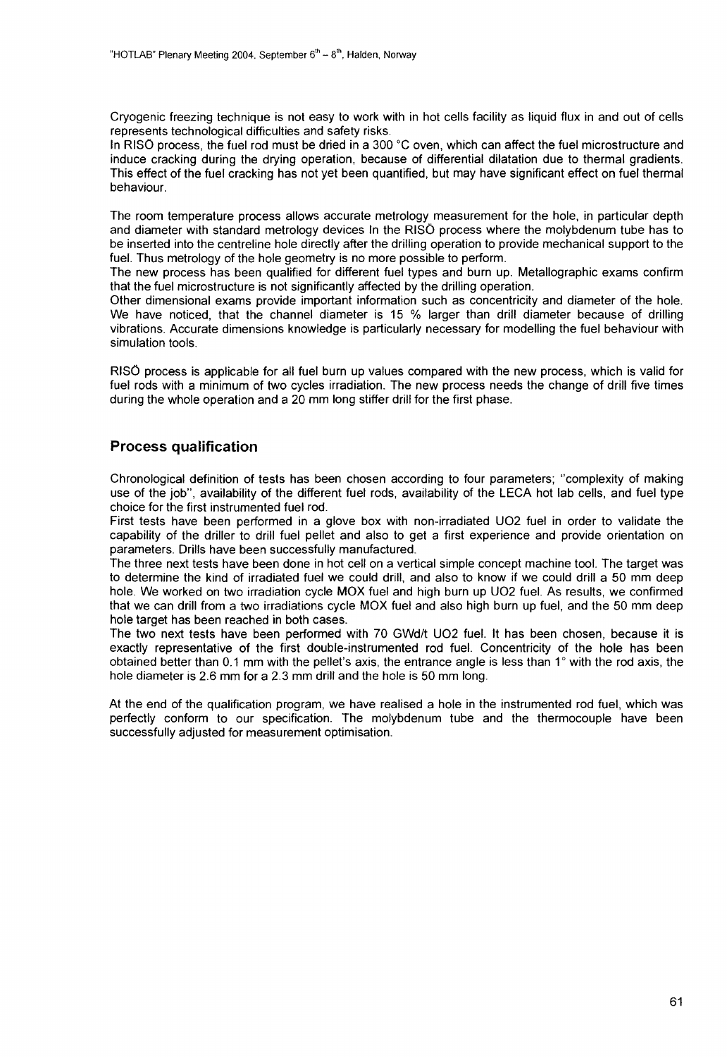Cryogenic freezing technique is not easy to work with in hot cells facility as liquid flux in and out of cells represents technological difficulties and safety risks.

In RISO process, the fuel rod must be dried in a 300 °C oven, which can affect the fuel microstructure and induce cracking during the drying operation, because of differential dilatation due to thermal gradients. This effect of the fuel cracking has not yet been quantified, but may have significant effect on fuel thermal behaviour.

The room temperature process allows accurate metrology measurement for the hole, in particular depth and diameter with standard metrology devices in the RISO process where the molybdenum tube has to be inserted into the centreline hole directly after the drilling operation to provide mechanical support to the fuel. Thus metrology of the hole geometry is no more possible to perform.

The new process has been qualified for different fuel types and burn up. Metallographic exams confirm that the fuel microstructure is not significantly affected by the drilling operation.

Other dimensional exams provide important information such as concentricity and diameter of the hole. We have noticed, that the channel diameter is 15 % larger than drill diameter because of drilling vibrations. Accurate dimensions knowledge is particularly necessary for modelling the fuel behaviour with simulation tools.

RISO process is applicable for all fuel burn up values compared with the new process, which is valid for fuel rods with a minimum of two cycles irradiation. The new process needs the change of drill five times during the whole operation and a 20 mm long stiffer drill for the first phase.

### Process qualification

Chronological definition of tests has been chosen according to four parameters; "complexity of making use of the job", availability of the different fuel rods, availability of the LECA hot lab cells, and fuel type choice for the first instrumented fuel rod.

First tests have been performed in a glove box with non-irradiated UO2 fuel in order to validate the capability of the driller to drill fuel pellet and also to get a first experience and provide orientation on parameters. Drills have been successfully manufactured.

The three next tests have been done in hot cell on a vertical simple concept machine tool. The target was to determine the kind of irradiated fuel we could drill, and also to know if we could drill a 50 mm deep hole. We worked on two irradiation cycle MOX fuel and high burn up UO2 fuel. As results, we confirmed that we can drill from a two irradiations cycle MOX fuel and also high burn up fuel, and the 50 mm deep hole target has been reached in both cases.

The two next tests have been performed with 70 GWd/t UO2 fuel. It has been chosen, because it is exactly representative of the first double-instrumented rod fuel. Concentricity of the hole has been obtained better than 0.1 mm with the pellet's axis, the entrance angle is less than 1° with the rod axis, the hole diameter is 2.6 mm for a 2.3 mm drill and the hole is 50 mm long.

At the end of the qualification program, we have realised a hole in the instrumented rod fuel, which was perfectly conform to our specification. The molybdenum tube and the thermocouple have been successfully adjusted for measurement optimisation.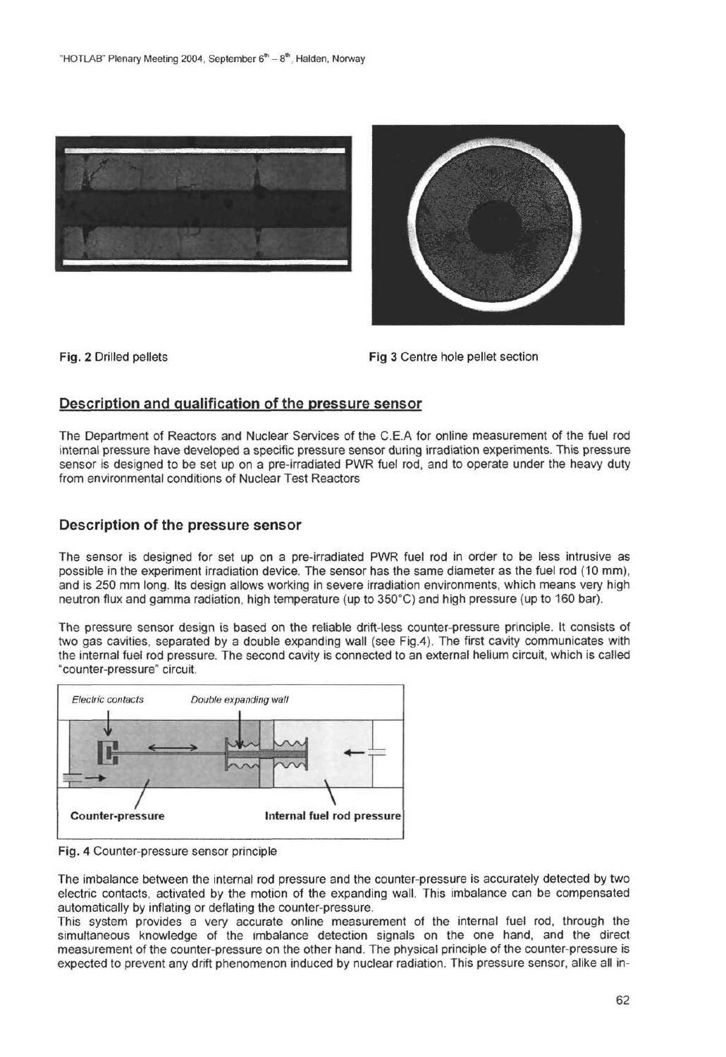



Fig. 2 Drilled pellets Fig 3 Centre hole pellet section

# Description and qualification of the pressure sensor

The Department of Reactors and Nuclear Services of the C.E.A for online measurement of the fuel rod internal pressure have developed a specific pressure sensor during irradiation experiments. This pressure sensor is designed to be set up on a pre-irradiated PWR fuel rod, and to operate under the heavy duty from environmental conditions of Nuclear Test Reactors

# Description of the pressure sensor

The sensor is designed for set up on a pre-irradiated PWR fuel rod in order to be less intrusive as possible in the experiment irradiation device. The sensor has the same diameter as the fuel rod (10 mm), and is 250 mm long. Its design allows working in severe irradiation environments, which means very high neutron flux and gamma radiation, high temperature (up to 350°C) and high pressure (up to 160 bar).

The pressure sensor design is based on the reliable drift-less counter-pressure principle. It consists of two gas cavities, separated by a double expanding wall (see Fig.4). The first cavity communicates with the internal fuel rod pressure. The second cavity is connected to an external helium circuit, which is called "counter-pressure" circuit.



Fig. 4 Counter-pressure sensor principle

The imbalance between the internal rod pressure and the counter-pressure is accurately detected by two electric contacts, activated by the motion of the expanding wall. This imbalance can be compensated automatically by inflating or deflating the counter-pressure.

This system provides a very accurate online measurement of the internal fuel rod, through the simultaneous knowledge of the imbalance detection signals on the one hand, and the direct measurement of the counter-pressure on the other hand. The physical principle of the counter-pressure is expected to prevent any drift phenomenon induced by nuclear radiation. This pressure sensor, alike all in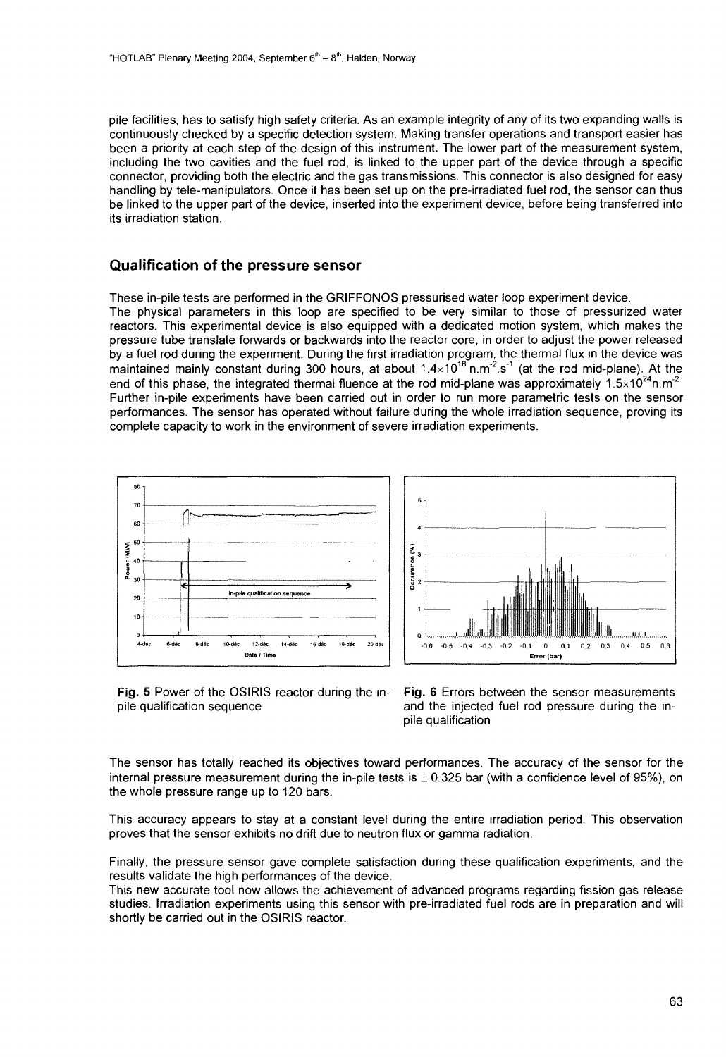pile facilities, has to satisfy high safety criteria. As an example integrity of any of its two expanding walls is continuously checked by a specific detection system. Making transfer operations and transport easier has been a priority at each step of the design of this instrument. The lower part of the measurement system, including the two cavities and the fuel rod, is linked to the upper part of the device through a specific connector, providing both the electric and the gas transmissions. This connector is also designed for easy handling by tele-manipulators. Once it has been set up on the pre-irradiated fuel rod, the sensor can thus be linked to the upper part of the device, inserted into the experiment device, before being transferred into its irradiation station.

#### Qualification of the pressure sensor

These in-pile tests are performed in the GRIFFONOS pressurised water loop experiment device.

The physical parameters in this loop are specified to be very similar to those of pressurized water reactors. This experimental device is also equipped with a dedicated motion system, which makes the pressure tube translate forwards or backwards into the reactor core, in order to adjust the power released by a fuel rod during the experiment. During the first irradiation program, the thermal flux in the device was maintained mainly constant during 300 hours, at about 1.4×10<sup>18</sup> n.m<sup>-2</sup>.s<sup>-1</sup> (at the rod mid-plane). At the end of this phase, the integrated thermal fluence at the rod mid-plane was approximately  $1.5 \times 10^{24}$ n.m<sup>2</sup> Further in-pile experiments have been carried out in order to run more parametric tests on the sensor performances. The sensor has operated without failure during the whole irradiation sequence, proving its complete capacity to work in the environment of severe irradiation experiments.



**Fig. 5** Power of the OSIRIS reactor during the in-<br>pile qualification sequence and the injected fuel rod pressure during the inand the injected fuel rod pressure during the inpile qualification

The sensor has totally reached its objectives toward performances. The accuracy of the sensor for the internal pressure measurement during the in-pile tests is  $\pm$  0.325 bar (with a confidence level of 95%), on the whole pressure range up to 120 bars.

This accuracy appears to stay at a constant level during the entire irradiation period. This observation proves that the sensor exhibits no drift due to neutron flux or gamma radiation.

Finally, the pressure sensor gave complete satisfaction during these qualification experiments, and the results validate the high performances of the device.

This new accurate tool now allows the achievement of advanced programs regarding fission gas release studies. Irradiation experiments using this sensor with pre-irradiated fuel rods are in preparation and will shortly be carried out in the OSIRIS reactor.